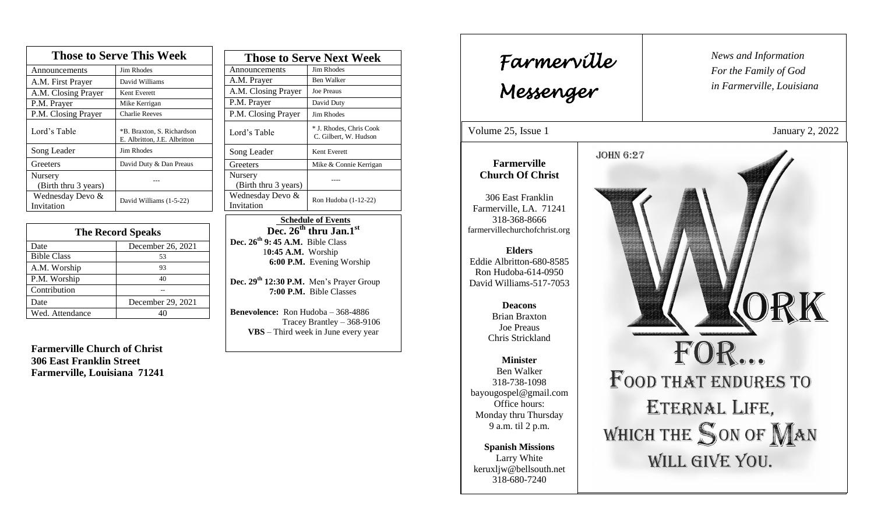| <b>Those to Serve This Week</b> |                                                            |  |
|---------------------------------|------------------------------------------------------------|--|
| Announcements                   | <b>Jim Rhodes</b>                                          |  |
| A.M. First Prayer               | David Williams                                             |  |
| A.M. Closing Prayer             | Kent Everett                                               |  |
| P.M. Prayer                     | Mike Kerrigan                                              |  |
| P.M. Closing Prayer             | <b>Charlie Reeves</b>                                      |  |
| Lord's Table                    | *B. Braxton, S. Richardson<br>E. Albritton, J.E. Albritton |  |
| Song Leader                     | Jim Rhodes                                                 |  |
| Greeters                        | David Duty & Dan Preaus                                    |  |
| Nursery<br>(Birth thru 3 years) |                                                            |  |
| Wednesday Devo &<br>Invitation  | David Williams (1-5-22)                                    |  |

| <b>The Record Speaks</b> |                   |  |
|--------------------------|-------------------|--|
| Date                     | December 26, 2021 |  |
| <b>Bible Class</b>       | 53                |  |
| A.M. Worship             | 93                |  |
| P.M. Worship             | 40                |  |
| Contribution             |                   |  |
| Date                     | December 29, 2021 |  |
| Wed. Attendance          |                   |  |

**Farmerville Church of Christ 306 East Franklin Street Farmerville, Louisiana 71241**

| <b>Those to Serve Next Week</b> |                                                  |
|---------------------------------|--------------------------------------------------|
| Announcements                   | Jim Rhodes                                       |
| A.M. Prayer                     | Ben Walker                                       |
| A.M. Closing Prayer             | <b>Joe Preaus</b>                                |
| P.M. Prayer                     | David Duty                                       |
| P.M. Closing Prayer             | <b>Jim Rhodes</b>                                |
| Lord's Table                    | * J. Rhodes, Chris Cook<br>C. Gilbert, W. Hudson |
| Song Leader                     | Kent Everett                                     |
| Greeters                        | Mike & Connie Kerrigan                           |
| Nursery<br>(Birth thru 3 years) |                                                  |
| Wednesday Devo &<br>Invitation  | Ron Hudoba (1-12-22)                             |

 **Schedule of Events**  $Dec. 26<sup>th</sup>$  **thru Jan.**<sup>1st</sup> **Dec. 26th 9: 45 A.M.** Bible Class 1**0:45 A.M.** Worship  **6:00 P.M.** Evening Worship

**Dec. 29th 12:30 P.M.** Men's Prayer Group **7:00 P.M.** Bible Classes

**Benevolence:** Ron Hudoba – 368-4886 Tracey Brantley – 368-9106 **VBS** – Third week in June every year